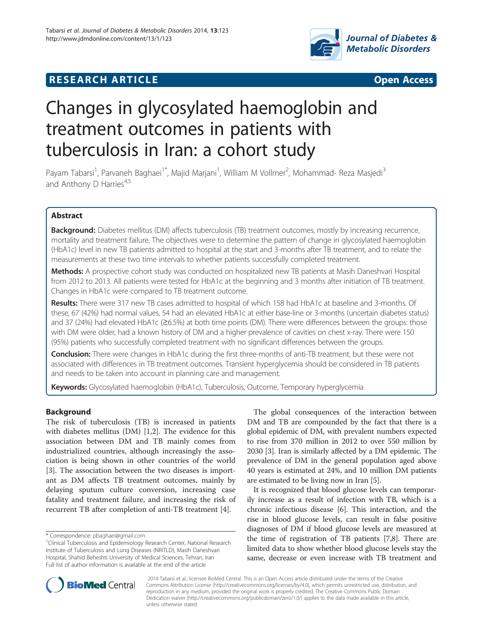

## **RESEARCH ARTICLE Example 2014 CONSIDERING CONSIDERING CONSIDERING CONSIDERING CONSIDERING CONSIDERING CONSIDERING CONSIDERING CONSIDERING CONSIDERING CONSIDERING CONSIDERING CONSIDERING CONSIDERING CONSIDERING CONSIDE**



# Changes in glycosylated haemoglobin and treatment outcomes in patients with tuberculosis in Iran: a cohort study

Payam Tabarsi<sup>1</sup>, Parvaneh Baghaei<sup>1\*</sup>, Majid Marjani<sup>1</sup>, William M Vollmer<sup>2</sup>, Mohammad- Reza Masjedi<sup>3</sup> and Anthony D Harries $4,5$ 

## Abstract

Background: Diabetes mellitus (DM) affects tuberculosis (TB) treatment outcomes, mostly by increasing recurrence, mortality and treatment failure. The objectives were to determine the pattern of change in glycosylated haemoglobin (HbA1c) level in new TB patients admitted to hospital at the start and 3-months after TB treatment, and to relate the measurements at these two time intervals to whether patients successfully completed treatment.

Methods: A prospective cohort study was conducted on hospitalized new TB patients at Masih Daneshvari Hospital from 2012 to 2013. All patients were tested for HbA1c at the beginning and 3 months after initiation of TB treatment. Changes in HbA1c were compared to TB treatment outcome.

Results: There were 317 new TB cases admitted to hospital of which 158 had HbA1c at baseline and 3-months. Of these, 67 (42%) had normal values, 54 had an elevated HbA1c at either base-line or 3-months (uncertain diabetes status) and 37 (24%) had elevated HbA1c (≥6.5%) at both time points (DM). There were differences between the groups: those with DM were older, had a known history of DM and a higher prevalence of cavities on chest x-ray. There were 150 (95%) patients who successfully completed treatment with no significant differences between the groups.

Conclusion: There were changes in HbA1c during the first three-months of anti-TB treatment, but these were not associated with differences in TB treatment outcomes. Transient hyperglycemia should be considered in TB patients and needs to be taken into account in planning care and management.

Keywords: Glycosylated haemoglobin (HbA1c), Tuberculosis, Outcome, Temporary hyperglycemia

## Background

The risk of tuberculosis (TB) is increased in patients with diabetes mellitus (DM) [[1](#page-4-0),[2\]](#page-4-0). The evidence for this association between DM and TB mainly comes from industrialized countries, although increasingly the association is being shown in other countries of the world [[3\]](#page-4-0). The association between the two diseases is important as DM affects TB treatment outcomes, mainly by delaying sputum culture conversion, increasing case fatality and treatment failure, and increasing the risk of recurrent TB after completion of anti-TB treatment [[4\]](#page-4-0).

The global consequences of the interaction between DM and TB are compounded by the fact that there is a global epidemic of DM, with prevalent numbers expected to rise from 370 million in 2012 to over 550 million by 2030 [\[3\]](#page-4-0). Iran is similarly affected by a DM epidemic. The prevalence of DM in the general population aged above 40 years is estimated at 24%, and 10 million DM patients are estimated to be living now in Iran [\[5](#page-4-0)].

It is recognized that blood glucose levels can temporarily increase as a result of infection with TB, which is a chronic infectious disease [\[6\]](#page-4-0). This interaction, and the rise in blood glucose levels, can result in false positive diagnoses of DM if blood glucose levels are measured at the time of registration of TB patients [\[7,8\]](#page-5-0). There are limited data to show whether blood glucose levels stay the same, decrease or even increase with TB treatment and



? 2014 Tabarsi et al.; licensee BioMed Central. This is an Open Access article distributed under the terms of the Creative Commons Attribution License [\(http://creativecommons.org/licenses/by/4.0\)](http://creativecommons.org/licenses/by/4.0), which permits unrestricted use, distribution, and reproduction in any medium, provided the original work is properly credited. The Creative Commons Public Domain Dedication waiver [\(http://creativecommons.org/publicdomain/zero/1.0/](http://creativecommons.org/publicdomain/zero/1.0/)) applies to the data made available in this article, unless otherwise stated.

<sup>\*</sup> Correspondence: [pbaghaei@gmail.com](mailto:pbaghaei@gmail.com) <sup>1</sup>

<sup>&</sup>lt;sup>1</sup>Clinical Tuberculosis and Epidemiology Research Center, National Research Institute of Tuberculosis and Lung Diseases (NRITLD), Masih Daneshvari Hospital, Shahid Beheshti University of Medical Sciences, Tehran, Iran Full list of author information is available at the end of the article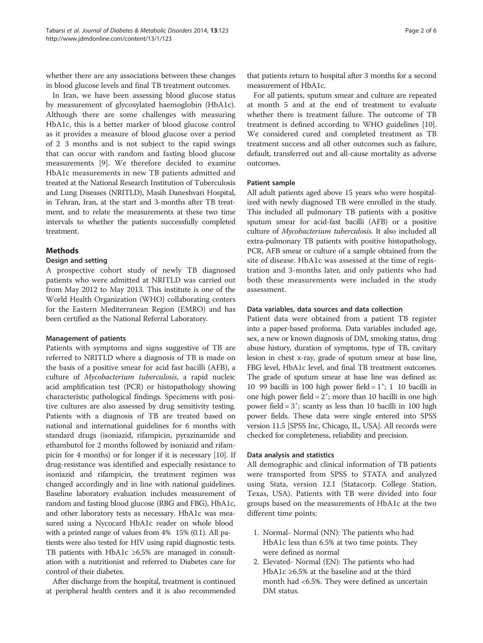whether there are any associations between these changes in blood glucose levels and final TB treatment outcomes.

In Iran, we have been assessing blood glucose status by measurement of glycosylated haemoglobin (HbA1c). Although there are some challenges with measuring HbA1c, this is a better marker of blood glucose control as it provides a measure of blood glucose over a period of 2 3 months and is not subject to the rapid swings that can occur with random and fasting blood glucose measurements [\[9](#page-5-0)]. We therefore decided to examine HbA1c measurements in new TB patients admitted and treated at the National Research Institution of Tuberculosis and Lung Diseases (NRITLD), Masih Daneshvari Hospital, in Tehran, Iran, at the start and 3-months after TB treatment, and to relate the measurements at these two time intervals to whether the patients successfully completed treatment.

## Methods

## Design and setting

A prospective cohort study of newly TB diagnosed patients who were admitted at NRITLD was carried out from May 2012 to May 2013. This institute is one of the World Health Organization (WHO) collaborating centers for the Eastern Mediterranean Region (EMRO) and has been certified as the National Referral Laboratory.

## Management of patients

Patients with symptoms and signs suggestive of TB are referred to NRITLD where a diagnosis of TB is made on the basis of a positive smear for acid fast bacilli (AFB), a culture of Mycobacterium tuberculosis, a rapid nucleic acid amplification test (PCR) or histopathology showing characteristic pathological findings. Specimens with positive cultures are also assessed by drug sensitivity testing. Patients with a diagnosis of TB are treated based on national and international guidelines for 6 months with standard drugs (isoniazid, rifampicin, pyrazinamide and ethambutol for 2 months followed by isoniazid and rifampicin for 4 months) or for longer if it is necessary [\[10\]](#page-5-0). If drug-resistance was identified and especially resistance to isoniazid and rifampicin, the treatment regimen was changed accordingly and in line with national guidelines. Baseline laboratory evaluation includes measurement of random and fasting blood glucose (RBG and FBG), HbA1c, and other laboratory tests as necessary. HbA1c was measured using a Nycocard HbA1c reader on whole blood with a printed range of values from  $4\%$  15% (0.1). All patients were also tested for HIV using rapid diagnostic tests. TB patients with HbA1c  $\geq 6.5\%$  are managed in consultation with a nutritionist and referred to Diabetes care for control of their diabetes.

After discharge from the hospital, treatment is continued at peripheral health centers and it is also recommended that patients return to hospital after 3 months for a second measurement of HbA1c.

For all patients, sputum smear and culture are repeated at month 5 and at the end of treatment to evaluate whether there is treatment failure. The outcome of TB treatment is defined according to WHO guidelines [[10](#page-5-0)]. We considered cured and completed treatment as TB treatment success and all other outcomes such as failure, default, transferred out and all-cause mortality as adverse outcomes.

## Patient sample

All adult patients aged above 15 years who were hospitalized with newly diagnosed TB were enrolled in the study. This included all pulmonary TB patients with a positive sputum smear for acid-fast bacilli (AFB) or a positive culture of Mycobacterium tuberculosis. It also included all extra-pulmonary TB patients with positive histopathology, PCR, AFB smear or culture of a sample obtained from the site of disease. HbA1c was assessed at the time of registration and 3-months later, and only patients who had both these measurements were included in the study assessment.

## Data variables, data sources and data collection

Patient data were obtained from a patient TB register into a paper-based proforma. Data variables included age, sex, a new or known diagnosis of DM, smoking status, drug abuse history, duration of symptoms, type of TB, cavitary lesion in chest x-ray, grade of sputum smear at base line, FBG level, HbA1c level, and final TB treatment outcomes. The grade of sputum smear at base line was defined as: 10 99 bacilli in 100 high power field =  $1^{\circ}$ ; 1 10 bacilli in one high power field =  $2^+$ ; more than 10 bacilli in one high power field =  $3^+$ ; scanty as less than 10 bacilli in 100 high power fields. These data were single entered into SPSS version 11.5 [SPSS Inc, Chicago, IL, USA]. All records were checked for completeness, reliability and precision.

#### Data analysis and statistics

All demographic and clinical information of TB patients were transported from SPSS to STATA and analyzed using Stata, version 12.1 (Statacorp. College Station, Texas, USA). Patients with TB were divided into four groups based on the measurements of HbA1c at the two different time points:

- 1. Normal- Normal (NN): The patients who had HbA1c less than 6.5% at two time points. They were defined as normal
- 2. Elevated- Normal (EN): The patients who had HbA1c ≥6.5% at the baseline and at the third month had <6.5%. They were defined as uncertain DM status.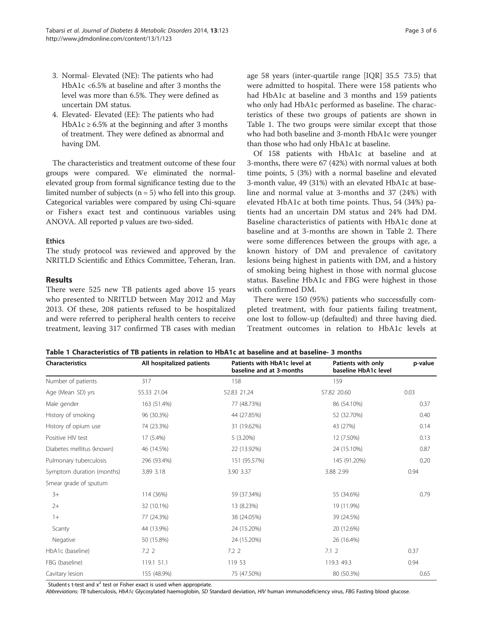- 3. Normal- Elevated (NE): The patients who had HbA1c <6.5% at baseline and after 3 months the level was more than 6.5%. They were defined as uncertain DM status.
- 4. Elevated- Elevated (EE): The patients who had HbA1c  $\geq$  6.5% at the beginning and after 3 months of treatment. They were defined as abnormal and having DM.

The characteristics and treatment outcome of these four groups were compared. We eliminated the normalelevated group from formal significance testing due to the limited number of subjects  $(n = 5)$  who fell into this group. Categorical variables were compared by using Chi-square or Fishers exact test and continuous variables using ANOVA. All reported p values are two-sided.

#### **Ethics**

The study protocol was reviewed and approved by the NRITLD Scientific and Ethics Committee, Teheran, Iran.

#### Results

There were 525 new TB patients aged above 15 years who presented to NRITLD between May 2012 and May 2013. Of these, 208 patients refused to be hospitalized and were referred to peripheral health centers to receive treatment, leaving 317 confirmed TB cases with median age 58 years (inter-quartile range [IQR] 35.5 73.5) that were admitted to hospital. There were 158 patients who had HbA1c at baseline and 3 months and 159 patients who only had HbA1c performed as baseline. The characteristics of these two groups of patients are shown in Table 1. The two groups were similar except that those who had both baseline and 3-month HbA1c were younger than those who had only HbA1c at baseline.

Of 158 patients with HbA1c at baseline and at 3-months, there were 67 (42%) with normal values at both time points, 5 (3%) with a normal baseline and elevated 3-month value, 49 (31%) with an elevated HbA1c at baseline and normal value at 3-months and 37 (24%) with elevated HbA1c at both time points. Thus, 54 (34%) patients had an uncertain DM status and 24% had DM. Baseline characteristics of patients with HbA1c done at baseline and at 3-months are shown in Table [2.](#page-3-0) There were some differences between the groups with age, a known history of DM and prevalence of cavitatory lesions being highest in patients with DM, and a history of smoking being highest in those with normal glucose status. Baseline HbA1c and FBG were highest in those with confirmed DM.

There were 150 (95%) patients who successfully completed treatment, with four patients failing treatment, one lost to follow-up (defaulted) and three having died. Treatment outcomes in relation to HbA1c levels at

| <b>Characteristics</b>    | All hospitalized patients | Patients with HbA1c level at<br>baseline and at 3-months | Patients with only<br>baseline HbA1c level | p-value |  |
|---------------------------|---------------------------|----------------------------------------------------------|--------------------------------------------|---------|--|
| Number of patients        | 317                       | 158                                                      | 159                                        |         |  |
| Age (Mean SD) yrs         | 55.33 21.04               | 52.83 21.24                                              | 57.82 20.60                                | 0.03    |  |
| Male gender               | 163 (51.4%)               | 77 (48.73%)                                              | 86 (54.10%)                                | 0.37    |  |
| History of smoking        | 96 (30.3%)                | 44 (27.85%)                                              | 52 (32.70%)                                | 0.40    |  |
| History of opium use      | 74 (23.3%)                | 31 (19.62%)                                              | 43 (27%)                                   | 0.14    |  |
| Positive HIV test         | 17 (5.4%)                 | 5 (3.20%)                                                | 12 (7.50%)                                 | 0.13    |  |
| Diabetes mellitus (known) | 46 (14.5%)                | 22 (13.92%)                                              | 24 (15.10%)                                | 0.87    |  |
| Pulmonary tuberculosis    | 296 (93.4%)               | 151 (95.57%)                                             | 145 (91.20%)                               | 0.20    |  |
| Symptom duration (months) | 3.89 3.18                 | 3.90 3.37                                                | 3.88 2.99                                  | 0.94    |  |
| Smear grade of sputum     |                           |                                                          |                                            |         |  |
| $3+$                      | 114 (36%)                 | 59 (37.34%)                                              | 55 (34.6%)                                 | 0.79    |  |
| $2+$                      | 32 (10.1%)                | 13 (8.23%)                                               | 19 (11.9%)                                 |         |  |
| $1+$                      | 77 (24.3%)                | 38 (24.05%)                                              | 39 (24.5%)                                 |         |  |
| Scanty                    | 44 (13.9%)                | 24 (15.20%)                                              | 20 (12.6%)                                 |         |  |
| Negative                  | 50 (15.8%)                | 24 (15.20%)                                              | 26 (16.4%)                                 |         |  |
| HbA1c (baseline)          | 7.22                      | 7.22                                                     | 7.12                                       | 0.37    |  |
| FBG (baseline)            | 119.1 51.1                | 119 53                                                   | 119.3 49.3                                 | 0.94    |  |
| Cavitary lesion           | 155 (48.9%)               | 75 (47.50%)                                              | 80 (50.3%)                                 | 0.65    |  |

Students t-test and  $x^2$  test or Fisher exact is used when appropriate.

Abbreviations: TB tuberculosis, HbA1c Glycosylated haemoglobin, SD Standard deviation, HIV human immunodeficiency virus, FBG Fasting blood glucose.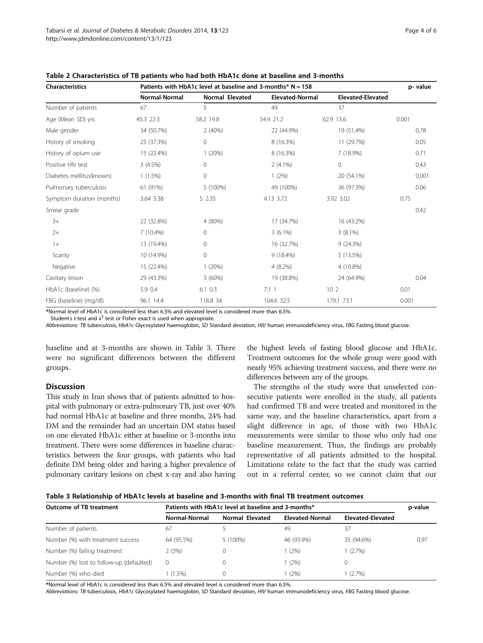| <b>Characteristics</b>    | Patients with HbA1c level at baseline and 3-months* $N = 158$ |                        |                        |                          | p-value |
|---------------------------|---------------------------------------------------------------|------------------------|------------------------|--------------------------|---------|
|                           | <b>Normal-Normal</b>                                          | <b>Normal Elevated</b> | <b>Elevated-Normal</b> | <b>Elevated-Elevated</b> |         |
| Number of patients        | 67                                                            | 5                      | 49                     | 37                       |         |
| Age (Mean SD) yrs         | 45.3 22.3                                                     | 58.2 19.8              | 54.9 21.2              | 62.9 13.6                | 0.001   |
| Male gender               | 34 (50.7%)                                                    | 2(40%)                 | 22 (44.9%)             | 19 (51.4%)               | 0.78    |
| History of smoking        | 25 (37.3%)                                                    | 0                      | 8 (16.3%)              | 11 (29.7%)               | 0.05    |
| History of opium use      | 15 (22.4%)                                                    | 1(20%)                 | 8 (16.3%)              | 7 (18.9%)                | 0.71    |
| Positive HIV test         | 3(4.5%)                                                       | $\mathbf 0$            | $2(4.1\%)$             | 0                        | 0.43    |
| Diabetes mellitus(known)  | $1(1.5\%)$                                                    | 0                      | 1(2%)                  | 20 (54.1%)               | 0.001   |
| Pulmonary tuberculosis    | 61 (91%)                                                      | 5 (100%)               | 49 (100%)              | 36 (97.3%)               | 0.06    |
| Symptom duration (months) | 3.64 3.38                                                     | 5 2.35                 | 4.13 3.72              | 3.92 3.02                | 0.75    |
| Smear grade               |                                                               |                        |                        |                          | 0.42    |
| $3+$                      | 22 (32.8%)                                                    | 4 (80%)                | 17 (34.7%)             | 16 (43.2%)               |         |
| $2+$                      | $7(10.4\%)$                                                   | $\mathbf{0}$           | $3(6.1\%)$             | $3(8.1\%)$               |         |
| $1+$                      | 13 (19.4%)                                                    | $\mathbf{0}$           | 16 (32.7%)             | 9(24.3%)                 |         |
| Scanty                    | 10 (14.9%)                                                    | $\mathbf 0$            | $9(18.4\%)$            | 5 (13.5%)                |         |
| Negative                  | 15 (22.4%)                                                    | 1(20%)                 | $4(8.2\%)$             | 4 (10.8%)                |         |
| Cavitary lesion           | 29 (43.3%)                                                    | 3(60%)                 | 19 (38.8%)             | 24 (64.9%)               | 0.04    |
| HbA1c (baseline) (%)      | 5.9 0.4                                                       | $6.1 \ 0.3$            | 7.11                   | 10 <sub>2</sub>          | 0.01    |
| FBG (baseline) (mg/dl)    | 96.1 14.4                                                     | 118.8 34               | 104.6 32.5             | 179.1 73.1               | 0.001   |

<span id="page-3-0"></span>Table 2 Characteristics of TB patients who had both HbA1c done at baseline and 3-months

\*Normal level of HbA1c is considered less than 6.5% and elevated level is considered more than 6.5%.

Students t-test and  $x^2$  test or Fisher exact is used when appropriate.

Abbreviations: TB tuberculosis, HbA1c Glycosylated haemoglobin, SD Standard deviation, HIV human immunodeficiency virus, FBG Fasting blood glucose.

baseline and at 3-months are shown in Table 3. There were no significant differences between the different groups.

## Discussion

This study in Iran shows that of patients admitted to hospital with pulmonary or extra-pulmonary TB, just over 40% had normal HbA1c at baseline and three months, 24% had DM and the remainder had an uncertain DM status based on one elevated HbA1c either at baseline or 3-months into treatment. There were some differences in baseline characteristics between the four groups, with patients who had definite DM being older and having a higher prevalence of pulmonary cavitary lesions on chest x-ray and also having the highest levels of fasting blood glucose and HbA1c. Treatment outcomes for the whole group were good with nearly 95% achieving treatment success, and there were no differences between any of the groups.

The strengths of the study were that unselected consecutive patients were enrolled in the study, all patients had confirmed TB and were treated and monitored in the same way, and the baseline characteristics, apart from a slight difference in age, of those with two HbA1c measurements were similar to those who only had one baseline measurement. Thus, the findings are probably representative of all patients admitted to the hospital. Limitations relate to the fact that the study was carried out in a referral center, so we cannot claim that our

| Table 3 Relationship of HbA1c levels at baseline and 3-months with final TB treatment outcomes |  |  |
|------------------------------------------------------------------------------------------------|--|--|
|------------------------------------------------------------------------------------------------|--|--|

| <b>Outcome of TB treatment</b>           | Patients with HbA1c level at baseline and 3-months* |                 |                 |                   | p-value |
|------------------------------------------|-----------------------------------------------------|-----------------|-----------------|-------------------|---------|
|                                          | Normal-Normal                                       | Normal Elevated | Elevated-Normal | Elevated-Elevated |         |
| Number of patients                       | 67                                                  |                 | 49              | 37                |         |
| Number (%) with treatment success        | 64 (95.5%)                                          | 5 (100%)        | 46 (93.9%)      | 35 (94.6%)        | 0.97    |
| Number (%) failing treatment             | 2(3%)                                               | 0               | (2%)            | $(2.7\%)$         |         |
| Number (%) lost to follow-up (defaulted) | 0                                                   | 0               | (2%)            | 0                 |         |
| Number (%) who died                      | $(1.5\%)$                                           | 0               | (2%)            | $(2.7\%)$         |         |

\*Normal level of HbA1c is considered less than 6.5% and elevated level is considered more than 6.5%.

Abbreviations: TB tuberculosis, HbA1c Glycosylated haemoglobin, SD Standard deviation, HIV human immunodeficiency virus, FBG Fasting blood glucose.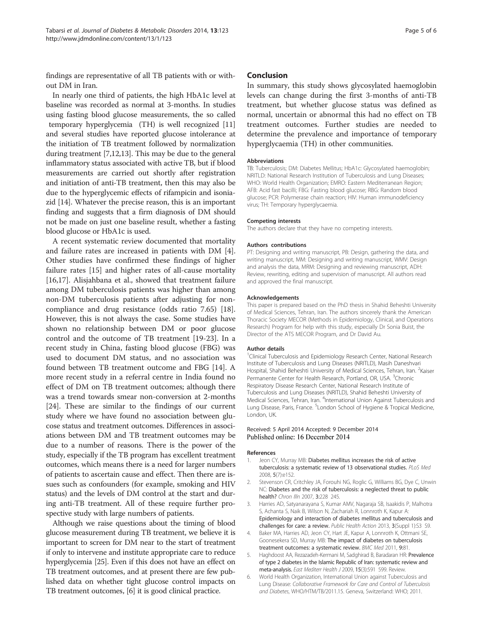<span id="page-4-0"></span>findings are representative of all TB patients with or without DM in Iran.

In nearly one third of patients, the high HbA1c level at baseline was recorded as normal at 3-months. In studies using fasting blood glucose measurements, the so called temporary hyperglycemia (TH) is well recognized [[11](#page-5-0)] and several studies have reported glucose intolerance at the initiation of TB treatment followed by normalization during treatment [[7,12,13\]](#page-5-0). This may be due to the general inflammatory status associated with active TB, but if blood measurements are carried out shortly after registration and initiation of anti-TB treatment, then this may also be due to the hyperglycemic effects of rifampicin and isoniazid [\[14](#page-5-0)]. Whatever the precise reason, this is an important finding and suggests that a firm diagnosis of DM should not be made on just one baseline result, whether a fasting blood glucose or HbA1c is used.

A recent systematic review documented that mortality and failure rates are increased in patients with DM [4]. Other studies have confirmed these findings of higher failure rates [[15\]](#page-5-0) and higher rates of all-cause mortality [[16,17\]](#page-5-0). Alisjahbana et al., showed that treatment failure among DM tuberculosis patients was higher than among non-DM tuberculosis patients after adjusting for noncompliance and drug resistance (odds ratio 7.65) [\[18](#page-5-0)]. However, this is not always the case. Some studies have shown no relationship between DM or poor glucose control and the outcome of TB treatment [\[19-23](#page-5-0)]. In a recent study in China, fasting blood glucose (FBG) was used to document DM status, and no association was found between TB treatment outcome and FBG [[14\]](#page-5-0). A more recent study in a referral centre in India found no effect of DM on TB treatment outcomes; although there was a trend towards smear non-conversion at 2-months [[24\]](#page-5-0). These are similar to the findings of our current study where we have found no association between glucose status and treatment outcomes. Differences in associations between DM and TB treatment outcomes may be due to a number of reasons. There is the power of the study, especially if the TB program has excellent treatment outcomes, which means there is a need for larger numbers of patients to ascertain cause and effect. Then there are issues such as confounders (for example, smoking and HIV status) and the levels of DM control at the start and during anti-TB treatment. All of these require further prospective study with large numbers of patients.

Although we raise questions about the timing of blood glucose measurement during TB treatment, we believe it is important to screen for DM near to the start of treatment if only to intervene and institute appropriate care to reduce hyperglycemia [[25](#page-5-0)]. Even if this does not have an effect on TB treatment outcomes, and at present there are few published data on whether tight glucose control impacts on TB treatment outcomes, [6] it is good clinical practice.

#### Conclusion

In summary, this study shows glycosylated haemoglobin levels can change during the first 3-months of anti-TB treatment, but whether glucose status was defined as normal, uncertain or abnormal this had no effect on TB treatment outcomes. Further studies are needed to determine the prevalence and importance of temporary hyperglycaemia (TH) in other communities.

#### Abbreviations

TB: Tuberculosis; DM: Diabetes Mellitus; HbA1c: Glycosylated haemoglobin; NRITLD: National Research Institution of Tuberculosis and Lung Diseases; WHO: World Health Organization; EMRO: Eastern Mediterranean Region; AFB: Acid fast bacilli; FBG: Fasting blood glucose; RBG: Random blood glucose; PCR: Polymerase chain reaction; HIV: Human immunodeficiency virus; TH: Temporary hyperglycaemia.

#### Competing interests

The authors declare that they have no competing interests.

#### Authors contributions

PT: Designing and writing manuscript, PB: Design, gathering the data, and writing manuscript, MM: Designing and writing manuscript, WMV: Design and analysis the data, MRM: Designing and reviewing manuscript, ADH: Review, rewriting, editing and supervision of manuscript. All authors read and approved the final manuscript.

#### Acknowledgements

This paper is prepared based on the PhD thesis in Shahid Beheshti University of Medical Sciences, Tehran, Iran. The authors sincerely thank the American Thoracic Society MECOR (Methods in Epidemiology, Clinical, and Operations Research) Program for help with this study, especially Dr Sonia Buist, the Director of the ATS MECOR Program, and Dr David Au.

#### Author details

<sup>1</sup>Clinical Tuberculosis and Epidemiology Research Center, National Research Institute of Tuberculosis and Lung Diseases (NRITLD), Masih Daneshvari Hospital, Shahid Beheshti University of Medical Sciences, Tehran, Iran. <sup>2</sup>Kaiser Permanente Center for Health Research, Portland, OR, USA. <sup>3</sup>Chronic Respiratory Disease Research Center, National Research Institute of Tuberculosis and Lung Diseases (NRITLD), Shahid Beheshti University of Medical Sciences, Tehran, Iran. <sup>4</sup>International Union Against Tuberculosis and Lung Disease, Paris, France. <sup>5</sup>London School of Hygiene & Tropical Medicine London, UK.

#### Received: 5 April 2014 Accepted: 9 December 2014 Published online: 16 December 2014

#### References

- Jeon CY, Murray MB: Diabetes mellitus increases the risk of active tuberculosis: a systematic review of 13 observational studies. PLoS Med 2008, 5(7):e152.
- 2. Stevenson CR, Critchley JA, Forouhi NG, Roglic G, Williams BG, Dye C, Unwin NC: Diabetes and the risk of tuberculosis: a neglected threat to public health? Chron Illn 2007, 3:228 245.
- 3. Harries AD, Satyanarayana S, Kumar AMV, Nagaraja SB, Isaakidis P, Malhotra S, Achanta S, Naik B, Wilson N, Zachariah R, Lonnroth K, Kapur A: Epidemiology and interaction of diabetes mellitus and tuberculosis and challenges for care: a review. Public Health Action 2013, 3(Suppl 1):S3 S9.
- 4. Baker MA, Harries AD, Jeon CY, Hart JE, Kapur A, Lonnroth K, Ottmani SE, Goonesekera SD, Murray MB: The impact of diabetes on tuberculosis treatment outcomes: a systematic review. BMC Med 2011, 9:81.
- 5. Haghdoost AA, Rezazadeh-Kermani M, Sadghirad B, Baradaran HR: Prevalence of type 2 diabetes in the Islamic Republic of Iran: systematic review and meta-analysis. East Mediterr Health J 2009, 15(3):591 599. Review.
- 6. World Health Organization, International Union against Tuberculosis and Lung Disease: Collaborative Framework for Care and Control of Tuberculosis and Diabetes, WHO/HTM/TB/2011.15. Geneva, Switzerland: WHO; 2011.